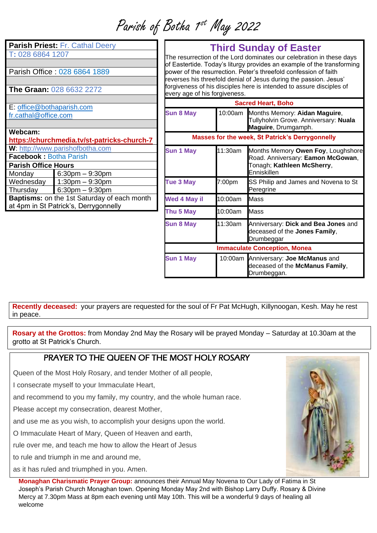Parish of Botha 1<sup>st</sup> May 2022

**Parish Priest:** Fr. Cathal Deery T**:** 028 6864 1207

Parish Office : 028 6864 1889

**The Graan:** 028 6632 2272

E: [office@bothaparish.com](mailto:office@bothaparish.com) [fr.cathal@office.com](mailto:fr.cathal@office.com)

| Webcam:<br>https://churchmedia.tv/st-patricks-church-7 |                      |  |  |
|--------------------------------------------------------|----------------------|--|--|
| W: http://www.parishofbotha.com                        |                      |  |  |
| <b>Facebook: Botha Parish</b>                          |                      |  |  |
| <b>Parish Office Hours</b>                             |                      |  |  |
| Monday                                                 | $6:30$ pm $-9:30$ pm |  |  |
| Wednesday                                              | $1:30$ pm $-9:30$ pm |  |  |
| Thursday                                               | $6:30pm - 9:30pm$    |  |  |
| <b>Baptisms:</b> on the 1st Saturday of each month     |                      |  |  |
| at 4pm in St Patrick's, Derrygonnelly                  |                      |  |  |

## **Third Sunday of Easter**

The resurrection of the Lord dominates our celebration in these days of Eastertide. Today's liturgy provides an example of the transforming power of the resurrection. Peter's threefold confession of faith reverses his threefold denial of Jesus during the passion. Jesus' forgiveness of his disciples here is intended to assure disciples of every age of his forgiveness.

| <b>Sacred Heart, Boho</b>                              |         |                                                                                                                      |  |
|--------------------------------------------------------|---------|----------------------------------------------------------------------------------------------------------------------|--|
| <b>Sun 8 May</b>                                       |         | 10:00am Months Memory: Aidan Maguire,<br>Tullyholvin Grove. Anniversary: Nuala<br>Maguire, Drumgamph.                |  |
| <b>Masses for the week, St Patrick's Derrygonnelly</b> |         |                                                                                                                      |  |
| <b>Sun 1 May</b>                                       | 11:30am | Months Memory Owen Foy, Loughshore<br>Road. Anniversary: Eamon McGowan,<br>Tonagh; Kathleen McSherry,<br>Enniskillen |  |
| <b>Tue 3 May</b>                                       | 7:00pm  | SS Philip and James and Novena to St<br>Peregrine                                                                    |  |
| Wed 4 May il                                           | 10:00am | Mass                                                                                                                 |  |
| Thu 5 May                                              | 10:00am | <b>Mass</b>                                                                                                          |  |
| <b>Sun 8 May</b>                                       | 11:30am | Anniversary: Dick and Bea Jones and<br>deceased of the Jones Family,<br>Drumbeggar                                   |  |
| <b>Immaculate Conception, Monea</b>                    |         |                                                                                                                      |  |
| <b>Sun 1 May</b>                                       |         | 10:00am Anniversary: Joe McManus and<br>deceased of the McManus Family,<br>Drumbeggan.                               |  |

**Recently deceased:** your prayers are requested for the soul of Fr Pat McHugh, Killynoogan, Kesh. May he rest in peace.

**Rosary at the Grottos:** from Monday 2nd May the Rosary will be prayed Monday – Saturday at 10.30am at the grotto at St Patrick's Church.

## PRAYER TO THE OUFEN OF THE MOST HOLY ROSARY

Queen of the Most Holy Rosary, and tender Mother of all people,

I consecrate myself to your Immaculate Heart,

and recommend to you my family, my country, and the whole human race.

Please accept my consecration, dearest Mother,

and use me as you wish, to accomplish your designs upon the world.

O Immaculate Heart of Mary, Queen of Heaven and earth,

rule over me, and teach me how to allow the Heart of Jesus

to rule and triumph in me and around me,

as it has ruled and triumphed in you. Amen.

**Monaghan Charismatic Prayer Group:** announces their Annual May Novena to Our Lady of Fatima in St Joseph's Parish Church Monaghan town. Opening Monday May 2nd with Bishop Larry Duffy. Rosary & Divine Mercy at 7.30pm Mass at 8pm each evening until May 10th. This will be a wonderful 9 days of healing all welcome